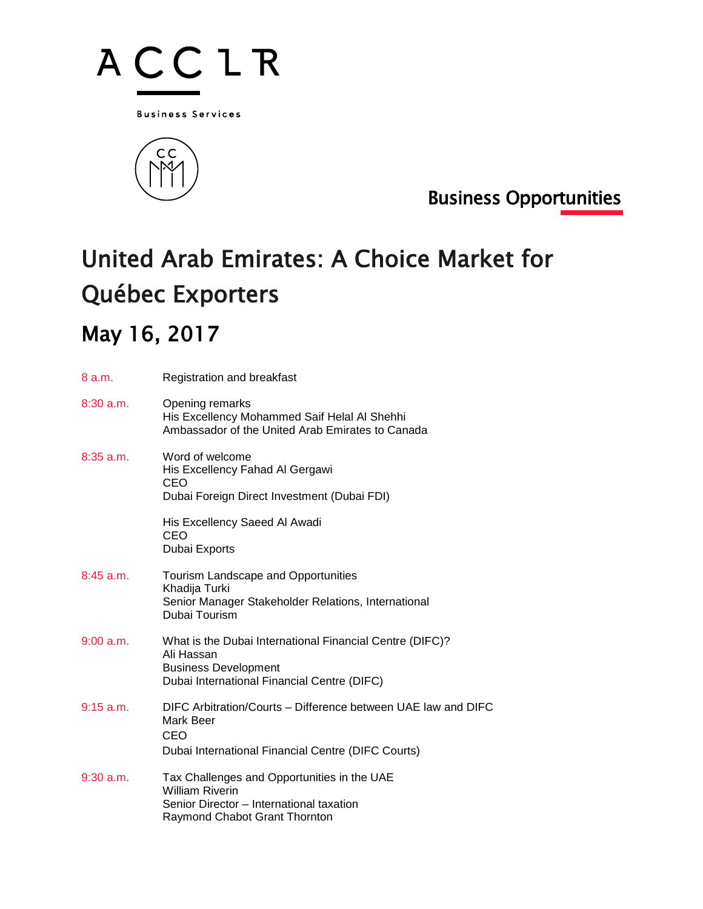

**Business Services** 



Business Opportunities

## United Arab Emirates: A Choice Market for Québec Exporters

## May 16, 2017

| 8 a.m.      | Registration and breakfast                                                                                                                           |
|-------------|------------------------------------------------------------------------------------------------------------------------------------------------------|
| $8:30$ a.m. | Opening remarks<br>His Excellency Mohammed Saif Helal Al Shehhi<br>Ambassador of the United Arab Emirates to Canada                                  |
| $8:35$ a.m. | Word of welcome<br>His Excellency Fahad Al Gergawi<br>CEO<br>Dubai Foreign Direct Investment (Dubai FDI)                                             |
|             | His Excellency Saeed Al Awadi<br>CEO<br>Dubai Exports                                                                                                |
| $8:45$ a.m. | Tourism Landscape and Opportunities<br>Khadija Turki<br>Senior Manager Stakeholder Relations, International<br>Dubai Tourism                         |
| 9:00 a.m.   | What is the Dubai International Financial Centre (DIFC)?<br>Ali Hassan<br><b>Business Development</b><br>Dubai International Financial Centre (DIFC) |
| $9:15$ a.m. | DIFC Arbitration/Courts - Difference between UAE law and DIFC<br>Mark Beer<br>CEO<br>Dubai International Financial Centre (DIFC Courts)              |
| $9:30$ a.m. | Tax Challenges and Opportunities in the UAE<br><b>William Riverin</b><br>Senior Director - International taxation<br>Raymond Chabot Grant Thornton   |